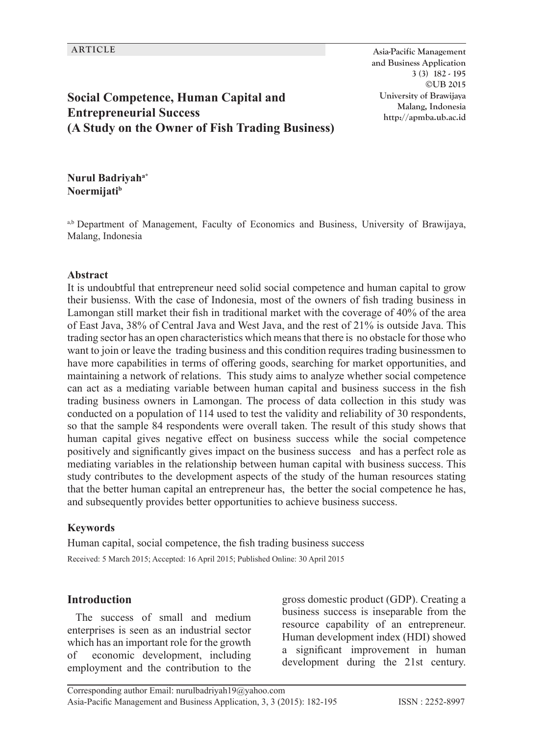**ARTICLE Asia-Pacific Management and Business Application 3 (3) 182 - 195 ©UB 2015 University of Brawijaya Malang, Indonesia http://apmba.ub.ac.id**

# **Social Competence, Human Capital and Entrepreneurial Success (A Study on the Owner of Fish Trading Business)**

**Nurul Badriyaha\* Noermijatib**

a,b Department of Management, Faculty of Economics and Business, University of Brawijaya, Malang, Indonesia

#### **Abstract**

It is undoubtful that entrepreneur need solid social competence and human capital to grow their busienss. With the case of Indonesia, most of the owners of fish trading business in Lamongan still market their fish in traditional market with the coverage of 40% of the area of East Java, 38% of Central Java and West Java, and the rest of 21% is outside Java. This trading sector has an open characteristics which means that there is no obstacle for those who want to join or leave the trading business and this condition requires trading businessmen to have more capabilities in terms of offering goods, searching for market opportunities, and maintaining a network of relations. This study aims to analyze whether social competence can act as a mediating variable between human capital and business success in the fish trading business owners in Lamongan. The process of data collection in this study was conducted on a population of 114 used to test the validity and reliability of 30 respondents, so that the sample 84 respondents were overall taken. The result of this study shows that human capital gives negative effect on business success while the social competence positively and significantly gives impact on the business success and has a perfect role as mediating variables in the relationship between human capital with business success. This study contributes to the development aspects of the study of the human resources stating that the better human capital an entrepreneur has, the better the social competence he has, and subsequently provides better opportunities to achieve business success.

#### **Keywords**

Human capital, social competence, the fish trading business success Received: 5 March 2015; Accepted: 16 April 2015; Published Online: 30 April 2015

### **Introduction**

The success of small and medium enterprises is seen as an industrial sector which has an important role for the growth of economic development, including employment and the contribution to the

gross domestic product (GDP). Creating a business success is inseparable from the resource capability of an entrepreneur. Human development index (HDI) showed a significant improvement in human development during the 21st century.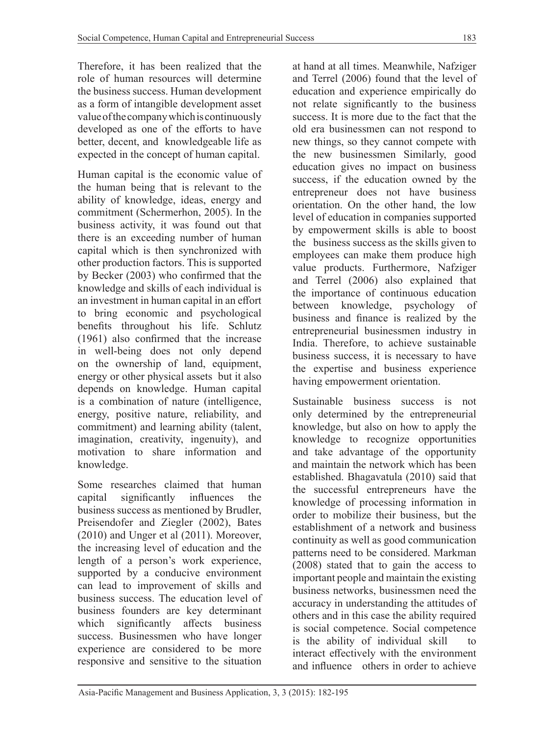Therefore, it has been realized that the role of human resources will determine the business success. Human development as a form of intangible development asset value of the company which is continuously developed as one of the efforts to have better, decent, and knowledgeable life as expected in the concept of human capital.

Human capital is the economic value of the human being that is relevant to the ability of knowledge, ideas, energy and commitment (Schermerhon, 2005). In the business activity, it was found out that there is an exceeding number of human capital which is then synchronized with other production factors. This is supported by Becker (2003) who confirmed that the knowledge and skills of each individual is an investment in human capital in an effort to bring economic and psychological benefits throughout his life. Schlutz (1961) also confirmed that the increase in well-being does not only depend on the ownership of land, equipment, energy or other physical assets but it also depends on knowledge. Human capital is a combination of nature (intelligence, energy, positive nature, reliability, and commitment) and learning ability (talent, imagination, creativity, ingenuity), and motivation to share information and knowledge.

Some researches claimed that human capital significantly influences the business success as mentioned by Brudler, Preisendofer and Ziegler (2002), Bates (2010) and Unger et al (2011). Moreover, the increasing level of education and the length of a person's work experience, supported by a conducive environment can lead to improvement of skills and business success. The education level of business founders are key determinant which significantly affects business success. Businessmen who have longer experience are considered to be more responsive and sensitive to the situation

at hand at all times. Meanwhile, Nafziger and Terrel (2006) found that the level of education and experience empirically do not relate significantly to the business success. It is more due to the fact that the old era businessmen can not respond to new things, so they cannot compete with the new businessmen Similarly, good education gives no impact on business success, if the education owned by the entrepreneur does not have business orientation. On the other hand, the low level of education in companies supported by empowerment skills is able to boost the business success as the skills given to employees can make them produce high value products. Furthermore, Nafziger and Terrel (2006) also explained that the importance of continuous education between knowledge, psychology of business and finance is realized by the entrepreneurial businessmen industry in India. Therefore, to achieve sustainable business success, it is necessary to have the expertise and business experience having empowerment orientation.

Sustainable business success is not only determined by the entrepreneurial knowledge, but also on how to apply the knowledge to recognize opportunities and take advantage of the opportunity and maintain the network which has been established. Bhagavatula (2010) said that the successful entrepreneurs have the knowledge of processing information in order to mobilize their business, but the establishment of a network and business continuity as well as good communication patterns need to be considered. Markman (2008) stated that to gain the access to important people and maintain the existing business networks, businessmen need the accuracy in understanding the attitudes of others and in this case the ability required is social competence. Social competence is the ability of individual skill interact effectively with the environment and influence others in order to achieve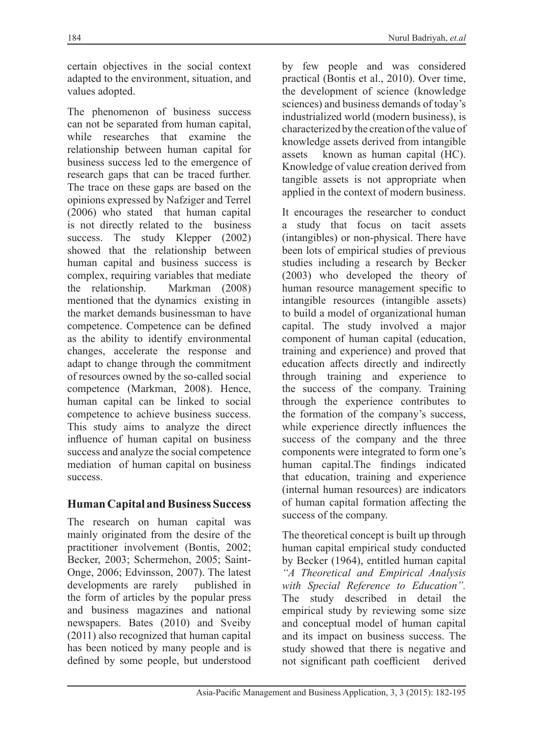certain objectives in the social context adapted to the environment, situation, and values adopted.

The phenomenon of business success can not be separated from human capital, while researches that examine the relationship between human capital for business success led to the emergence of research gaps that can be traced further. The trace on these gaps are based on the opinions expressed by Nafziger and Terrel (2006) who stated that human capital is not directly related to the business success. The study Klepper (2002) showed that the relationship between human capital and business success is complex, requiring variables that mediate<br>the relationship. Markman (2008) Markman (2008) mentioned that the dynamics existing in the market demands businessman to have competence. Competence can be defined as the ability to identify environmental changes, accelerate the response and adapt to change through the commitment of resources owned by the so-called social competence (Markman, 2008). Hence, human capital can be linked to social competence to achieve business success. This study aims to analyze the direct influence of human capital on business success and analyze the social competence mediation of human capital on business success.

## **Human Capital and Business Success**

The research on human capital was mainly originated from the desire of the practitioner involvement (Bontis, 2002; Becker, 2003; Schermehon, 2005; Saint-Onge, 2006; Edvinsson, 2007). The latest developments are rarely published in the form of articles by the popular press and business magazines and national newspapers. Bates (2010) and Sveiby (2011) also recognized that human capital has been noticed by many people and is defined by some people, but understood by few people and was considered practical (Bontis et al., 2010). Over time, the development of science (knowledge sciences) and business demands of today's industrialized world (modern business), is characterized by the creation of the value of knowledge assets derived from intangible assets known as human capital (HC). Knowledge of value creation derived from tangible assets is not appropriate when applied in the context of modern business.

It encourages the researcher to conduct a study that focus on tacit assets (intangibles) or non-physical. There have been lots of empirical studies of previous studies including a research by Becker (2003) who developed the theory of human resource management specific to intangible resources (intangible assets) to build a model of organizational human capital. The study involved a major component of human capital (education, training and experience) and proved that education affects directly and indirectly through training and experience to the success of the company. Training through the experience contributes to the formation of the company's success, while experience directly influences the success of the company and the three components were integrated to form one's human capital.The findings indicated that education, training and experience (internal human resources) are indicators of human capital formation affecting the success of the company.

The theoretical concept is built up through human capital empirical study conducted by Becker (1964), entitled human capital *"A Theoretical and Empirical Analysis with Special Reference to Education".* The study described in detail the empirical study by reviewing some size and conceptual model of human capital and its impact on business success. The study showed that there is negative and not significant path coefficient derived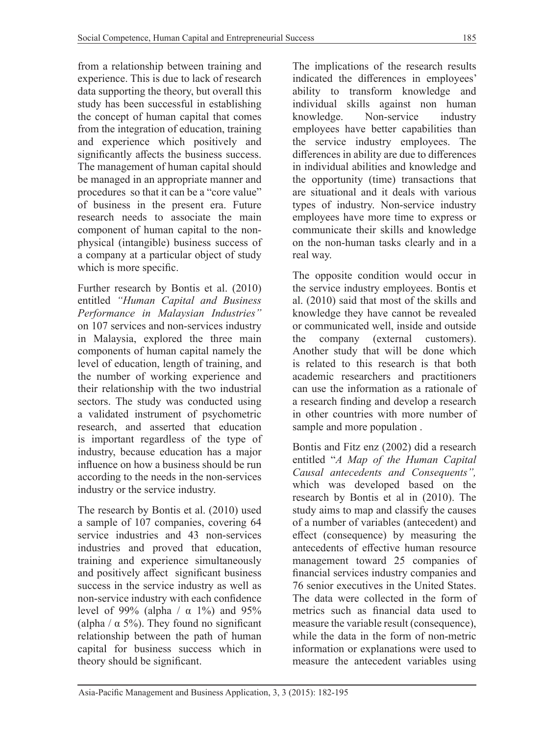from a relationship between training and experience. This is due to lack of research data supporting the theory, but overall this study has been successful in establishing the concept of human capital that comes from the integration of education, training and experience which positively and significantly affects the business success. The management of human capital should be managed in an appropriate manner and procedures so that it can be a "core value" of business in the present era. Future research needs to associate the main component of human capital to the nonphysical (intangible) business success of a company at a particular object of study which is more specific.

Further research by Bontis et al. (2010) entitled *"Human Capital and Business Performance in Malaysian Industries"* on 107 services and non-services industry in Malaysia, explored the three main components of human capital namely the level of education, length of training, and the number of working experience and their relationship with the two industrial sectors. The study was conducted using a validated instrument of psychometric research, and asserted that education is important regardless of the type of industry, because education has a major influence on how a business should be run according to the needs in the non-services industry or the service industry.

The research by Bontis et al. (2010) used a sample of 107 companies, covering 64 service industries and 43 non-services industries and proved that education, training and experience simultaneously and positively affect significant business success in the service industry as well as non-service industry with each confidence level of 99% (alpha /  $\alpha$  1%) and 95% (alpha /  $\alpha$  5%). They found no significant relationship between the path of human capital for business success which in theory should be significant.

The implications of the research results indicated the differences in employees' ability to transform knowledge and individual skills against non human knowledge. Non-service industry employees have better capabilities than the service industry employees. The differences in ability are due to differences in individual abilities and knowledge and the opportunity (time) transactions that are situational and it deals with various types of industry. Non-service industry employees have more time to express or communicate their skills and knowledge on the non-human tasks clearly and in a real way.

The opposite condition would occur in the service industry employees. Bontis et al. (2010) said that most of the skills and knowledge they have cannot be revealed or communicated well, inside and outside the company (external customers). Another study that will be done which is related to this research is that both academic researchers and practitioners can use the information as a rationale of a research finding and develop a research in other countries with more number of sample and more population .

Bontis and Fitz enz (2002) did a research entitled "*A Map of the Human Capital Causal antecedents and Consequents",* which was developed based on the research by Bontis et al in (2010). The study aims to map and classify the causes of a number of variables (antecedent) and effect (consequence) by measuring the antecedents of effective human resource management toward 25 companies of financial services industry companies and 76 senior executives in the United States. The data were collected in the form of metrics such as financial data used to measure the variable result (consequence), while the data in the form of non-metric information or explanations were used to measure the antecedent variables using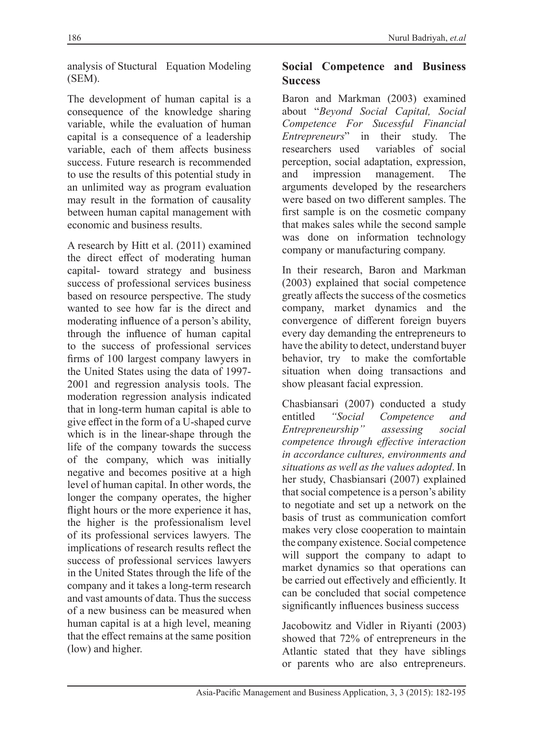analysis of Stuctural Equation Modeling (SEM).

The development of human capital is a consequence of the knowledge sharing variable, while the evaluation of human capital is a consequence of a leadership variable, each of them affects business success. Future research is recommended to use the results of this potential study in an unlimited way as program evaluation may result in the formation of causality between human capital management with economic and business results.

A research by Hitt et al. (2011) examined the direct effect of moderating human capital- toward strategy and business success of professional services business based on resource perspective. The study wanted to see how far is the direct and moderating influence of a person's ability, through the influence of human capital to the success of professional services firms of 100 largest company lawyers in the United States using the data of 1997- 2001 and regression analysis tools. The moderation regression analysis indicated that in long-term human capital is able to give effect in the form of a U-shaped curve which is in the linear-shape through the life of the company towards the success of the company, which was initially negative and becomes positive at a high level of human capital. In other words, the longer the company operates, the higher flight hours or the more experience it has, the higher is the professionalism level of its professional services lawyers. The implications of research results reflect the success of professional services lawyers in the United States through the life of the company and it takes a long-term research and vast amounts of data. Thus the success of a new business can be measured when human capital is at a high level, meaning that the effect remains at the same position (low) and higher.

### **Social Competence and Business Success**

Baron and Markman (2003) examined about "*Beyond Social Capital, Social Competence For Sucessful Financial Entrepreneurs*" in their study. The researchers used variables of social variables of social perception, social adaptation, expression, and impression management. The arguments developed by the researchers were based on two different samples. The first sample is on the cosmetic company that makes sales while the second sample was done on information technology company or manufacturing company.

In their research, Baron and Markman (2003) explained that social competence greatly affects the success of the cosmetics company, market dynamics and the convergence of different foreign buyers every day demanding the entrepreneurs to have the ability to detect, understand buyer behavior, try to make the comfortable situation when doing transactions and show pleasant facial expression.

Chasbiansari (2007) conducted a study entitled *"Social Competence and Entrepreneurship" assessing social competence through effective interaction in accordance cultures, environments and situations as well as the values adopted*. In her study, Chasbiansari (2007) explained that social competence is a person's ability to negotiate and set up a network on the basis of trust as communication comfort makes very close cooperation to maintain the company existence. Social competence will support the company to adapt to market dynamics so that operations can be carried out effectively and efficiently. It can be concluded that social competence significantly influences business success

Jacobowitz and Vidler in Riyanti (2003) showed that 72% of entrepreneurs in the Atlantic stated that they have siblings or parents who are also entrepreneurs.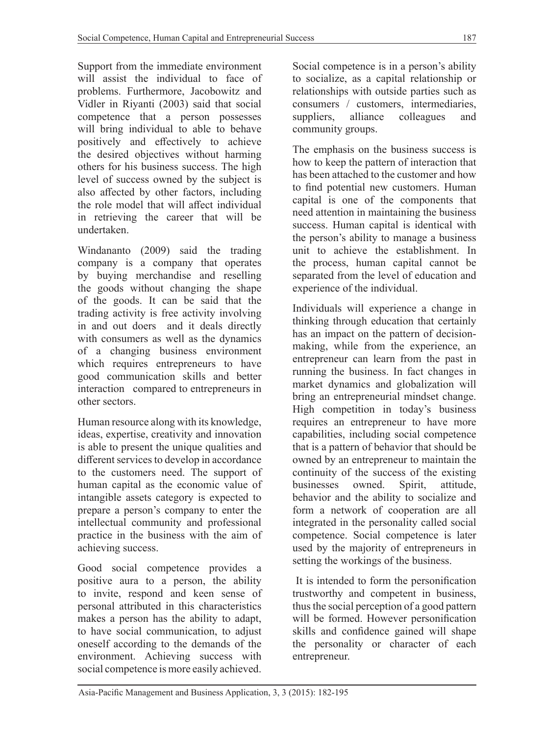Support from the immediate environment will assist the individual to face of problems. Furthermore, Jacobowitz and Vidler in Riyanti (2003) said that social competence that a person possesses will bring individual to able to behave positively and effectively to achieve the desired objectives without harming others for his business success. The high level of success owned by the subject is also affected by other factors, including the role model that will affect individual in retrieving the career that will be undertaken.

Windananto (2009) said the trading company is a company that operates by buying merchandise and reselling the goods without changing the shape of the goods. It can be said that the trading activity is free activity involving in and out doers and it deals directly with consumers as well as the dynamics of a changing business environment which requires entrepreneurs to have good communication skills and better interaction compared to entrepreneurs in other sectors.

Human resource along with its knowledge, ideas, expertise, creativity and innovation is able to present the unique qualities and different services to develop in accordance to the customers need. The support of human capital as the economic value of intangible assets category is expected to prepare a person's company to enter the intellectual community and professional practice in the business with the aim of achieving success.

Good social competence provides a positive aura to a person, the ability to invite, respond and keen sense of personal attributed in this characteristics makes a person has the ability to adapt, to have social communication, to adjust oneself according to the demands of the environment. Achieving success with social competence is more easily achieved.

Social competence is in a person's ability to socialize, as a capital relationship or relationships with outside parties such as consumers / customers, intermediaries, suppliers, alliance colleagues and community groups.

The emphasis on the business success is how to keep the pattern of interaction that has been attached to the customer and how to find potential new customers. Human capital is one of the components that need attention in maintaining the business success. Human capital is identical with the person's ability to manage a business unit to achieve the establishment. In the process, human capital cannot be separated from the level of education and experience of the individual.

Individuals will experience a change in thinking through education that certainly has an impact on the pattern of decisionmaking, while from the experience, an entrepreneur can learn from the past in running the business. In fact changes in market dynamics and globalization will bring an entrepreneurial mindset change. High competition in today's business requires an entrepreneur to have more capabilities, including social competence that is a pattern of behavior that should be owned by an entrepreneur to maintain the continuity of the success of the existing businesses owned. Spirit, attitude, behavior and the ability to socialize and form a network of cooperation are all integrated in the personality called social competence. Social competence is later used by the majority of entrepreneurs in setting the workings of the business.

 It is intended to form the personification trustworthy and competent in business, thus the social perception of a good pattern will be formed. However personification skills and confidence gained will shape the personality or character of each entrepreneur.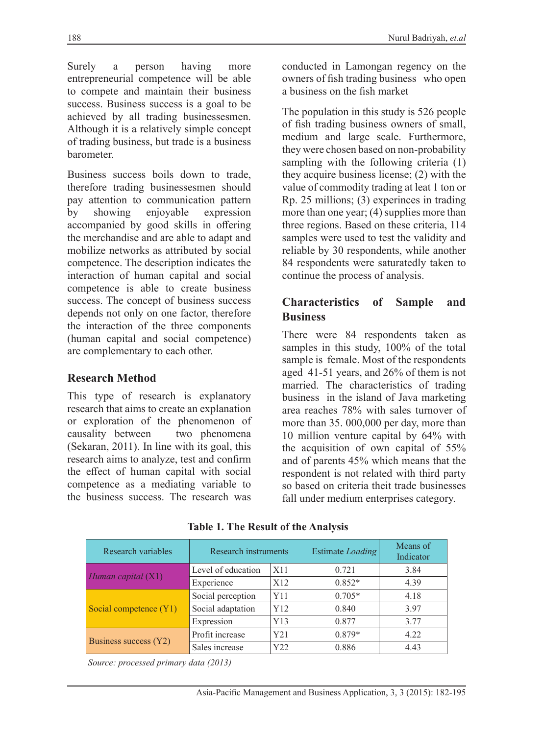Surely a person having more entrepreneurial competence will be able to compete and maintain their business success. Business success is a goal to be achieved by all trading businessesmen. Although it is a relatively simple concept of trading business, but trade is a business barometer.

Business success boils down to trade, therefore trading businessesmen should pay attention to communication pattern by showing enjoyable expression accompanied by good skills in offering the merchandise and are able to adapt and mobilize networks as attributed by social competence. The description indicates the interaction of human capital and social competence is able to create business success. The concept of business success depends not only on one factor, therefore the interaction of the three components (human capital and social competence) are complementary to each other.

# **Research Method**

This type of research is explanatory research that aims to create an explanation or exploration of the phenomenon of causality between two phenomena (Sekaran, 2011). In line with its goal, this research aims to analyze, test and confirm the effect of human capital with social competence as a mediating variable to the business success. The research was

conducted in Lamongan regency on the owners of fish trading business who open a business on the fish market

The population in this study is 526 people of fish trading business owners of small, medium and large scale. Furthermore, they were chosen based on non-probability sampling with the following criteria (1) they acquire business license; (2) with the value of commodity trading at leat 1 ton or Rp. 25 millions; (3) experinces in trading more than one year; (4) supplies more than three regions. Based on these criteria, 114 samples were used to test the validity and reliable by 30 respondents, while another 84 respondents were saturatedly taken to continue the process of analysis.

## **Characteristics of Sample and Business**

There were 84 respondents taken as samples in this study, 100% of the total sample is female. Most of the respondents aged 41-51 years, and 26% of them is not married. The characteristics of trading business in the island of Java marketing area reaches 78% with sales turnover of more than 35. 000,000 per day, more than 10 million venture capital by 64% with the acquisition of own capital of 55% and of parents 45% which means that the respondent is not related with third party so based on criteria theit trade businesses fall under medium enterprises category.

| Research variables     | Research instruments |                 | <b>Estimate Loading</b> | Means of<br>Indicator |
|------------------------|----------------------|-----------------|-------------------------|-----------------------|
| Human capital (X1)     | Level of education   | X11             | 0.721                   | 3.84                  |
|                        | Experience           | X <sub>12</sub> | $0.852*$                | 4.39                  |
| Social competence (Y1) | Social perception    | Y11             | $0.705*$                | 4.18                  |
|                        | Social adaptation    | Y12             | 0.840                   | 3.97                  |
|                        | Expression           | Y13             | 0.877                   | 3.77                  |
| Business success (Y2)  | Profit increase      | Y21             | $0.879*$                | 4.22                  |
|                        | Sales increase       | Y22             | 0.886                   | 4.43                  |

 **Table 1. The Result of the Analysis**

*Source: processed primary data (2013)*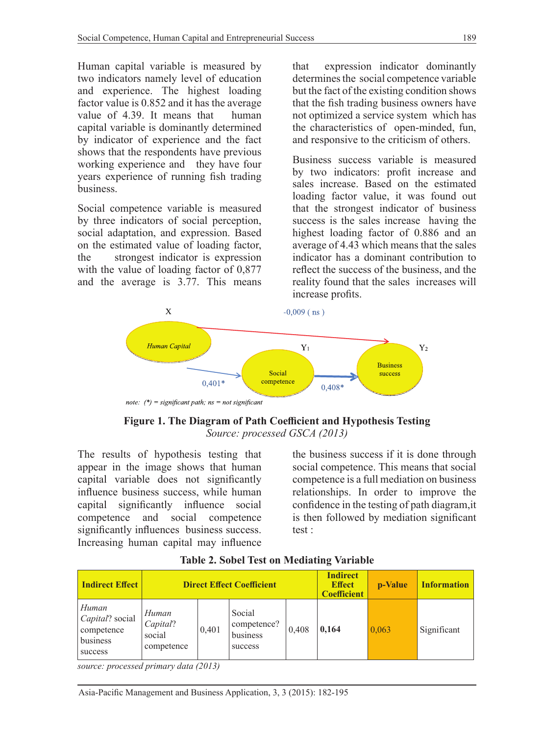Human capital variable is measured by two indicators namely level of education and experience. The highest loading factor value is 0.852 and it has the average value of 4.39. It means that human capital variable is dominantly determined by indicator of experience and the fact shows that the respondents have previous working experience and they have four years experience of running fish trading business.

Social competence variable is measured by three indicators of social perception, social adaptation, and expression. Based on the estimated value of loading factor, the strongest indicator is expression with the value of loading factor of 0,877 and the average is 3.77. This means that expression indicator dominantly determines the social competence variable but the fact of the existing condition shows that the fish trading business owners have not optimized a service system which has the characteristics of open-minded, fun, and responsive to the criticism of others.

Business success variable is measured by two indicators: profit increase and sales increase. Based on the estimated loading factor value, it was found out that the strongest indicator of business success is the sales increase having the highest loading factor of 0.886 and an average of 4.43 which means that the sales indicator has a dominant contribution to reflect the success of the business, and the reality found that the sales increases will increase profits.



**Figure 1. The Diagram of Path Coefficient and Hypothesis Testing** *Source: processed GSCA (2013)*

The results of hypothesis testing that appear in the image shows that human capital variable does not significantly influence business success, while human capital significantly influence social competence and social competence significantly influences business success. Increasing human capital may influence the business success if it is done through social competence. This means that social competence is a full mediation on business relationships. In order to improve the confidence in the testing of path diagram,it is then followed by mediation significant test :

| <b>Indirect Effect</b>                                        |                                           |       | <b>Direct Effect Coefficient</b>             | <b>Indirect</b><br><b>Effect</b><br><b>Coefficient</b> | p-Value | <b>Information</b> |             |
|---------------------------------------------------------------|-------------------------------------------|-------|----------------------------------------------|--------------------------------------------------------|---------|--------------------|-------------|
| Human<br>Capital? social<br>competence<br>business<br>success | Human<br>Capital?<br>social<br>competence | 0.401 | Social<br>competence?<br>business<br>success | 0.408                                                  | 0,164   | 0,063              | Significant |

**Table 2. Sobel Test on Mediating Variable**

*source: processed primary data (2013)*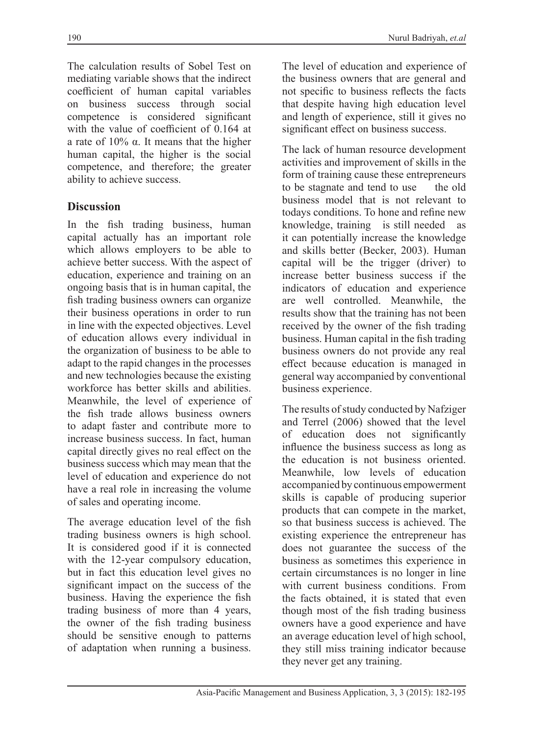The calculation results of Sobel Test on mediating variable shows that the indirect coefficient of human capital variables on business success through social competence is considered significant with the value of coefficient of 0.164 at a rate of 10% α. It means that the higher human capital, the higher is the social competence, and therefore; the greater ability to achieve success.

### **Discussion**

In the fish trading business, human capital actually has an important role which allows employers to be able to achieve better success. With the aspect of education, experience and training on an ongoing basis that is in human capital, the fish trading business owners can organize their business operations in order to run in line with the expected objectives. Level of education allows every individual in the organization of business to be able to adapt to the rapid changes in the processes and new technologies because the existing workforce has better skills and abilities. Meanwhile, the level of experience of the fish trade allows business owners to adapt faster and contribute more to increase business success. In fact, human capital directly gives no real effect on the business success which may mean that the level of education and experience do not have a real role in increasing the volume of sales and operating income.

The average education level of the fish trading business owners is high school. It is considered good if it is connected with the 12-year compulsory education, but in fact this education level gives no significant impact on the success of the business. Having the experience the fish trading business of more than 4 years, the owner of the fish trading business should be sensitive enough to patterns of adaptation when running a business.

The level of education and experience of the business owners that are general and not specific to business reflects the facts that despite having high education level and length of experience, still it gives no

significant effect on business success.

The lack of human resource development activities and improvement of skills in the form of training cause these entrepreneurs to be stagnate and tend to use the old business model that is not relevant to todays conditions. To hone and refine new knowledge, training is still needed as it can potentially increase the knowledge and skills better (Becker, 2003). Human capital will be the trigger (driver) to increase better business success if the indicators of education and experience are well controlled. Meanwhile, the results show that the training has not been received by the owner of the fish trading business. Human capital in the fish trading business owners do not provide any real effect because education is managed in general way accompanied by conventional business experience.

The results of study conducted by Nafziger and Terrel (2006) showed that the level of education does not significantly influence the business success as long as the education is not business oriented. Meanwhile, low levels of education accompanied by continuous empowerment skills is capable of producing superior products that can compete in the market, so that business success is achieved. The existing experience the entrepreneur has does not guarantee the success of the business as sometimes this experience in certain circumstances is no longer in line with current business conditions. From the facts obtained, it is stated that even though most of the fish trading business owners have a good experience and have an average education level of high school, they still miss training indicator because they never get any training.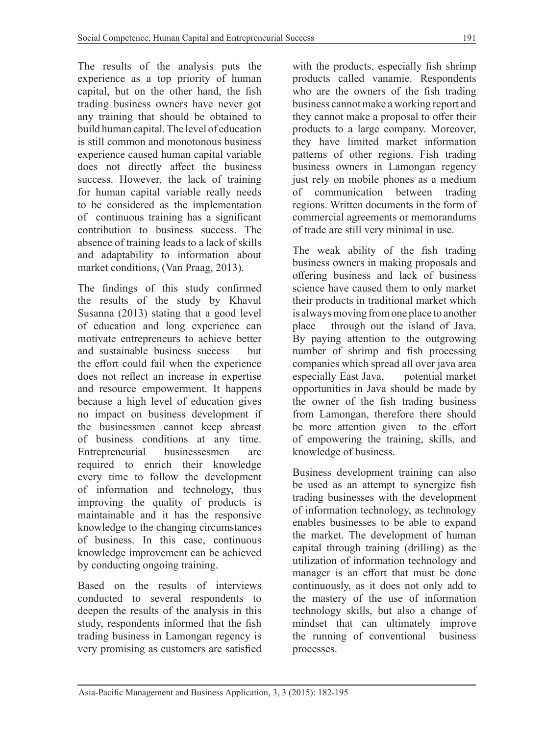The results of the analysis puts the experience as a top priority of human capital, but on the other hand, the fish trading business owners have never got any training that should be obtained to build human capital. The level of education is still common and monotonous business experience caused human capital variable does not directly affect the business success. However, the lack of training for human capital variable really needs to be considered as the implementation of continuous training has a significant contribution to business success. The absence of training leads to a lack of skills and adaptability to information about market conditions, (Van Praag, 2013).

The findings of this study confirmed the results of the study by Khavul Susanna (2013) stating that a good level of education and long experience can motivate entrepreneurs to achieve better and sustainable business success but the effort could fail when the experience does not reflect an increase in expertise and resource empowerment. It happens because a high level of education gives no impact on business development if the businessmen cannot keep abreast of business conditions at any time. Entrepreneurial businessesmen are required to enrich their knowledge every time to follow the development of information and technology, thus improving the quality of products is maintainable and it has the responsive knowledge to the changing circumstances of business. In this case, continuous knowledge improvement can be achieved by conducting ongoing training.

Based on the results of interviews conducted to several respondents to deepen the results of the analysis in this study, respondents informed that the fish trading business in Lamongan regency is very promising as customers are satisfied with the products, especially fish shrimp products called vanamie. Respondents who are the owners of the fish trading business cannot make a working report and they cannot make a proposal to offer their products to a large company. Moreover, they have limited market information patterns of other regions. Fish trading business owners in Lamongan regency just rely on mobile phones as a medium of communication between trading regions. Written documents in the form of commercial agreements or memorandums of trade are still very minimal in use.

The weak ability of the fish trading business owners in making proposals and offering business and lack of business science have caused them to only market their products in traditional market which is always moving from one place to another place through out the island of Java. By paying attention to the outgrowing number of shrimp and fish processing companies which spread all over java area especially East Java, potential market opportunities in Java should be made by the owner of the fish trading business from Lamongan, therefore there should be more attention given to the effort of empowering the training, skills, and knowledge of business.

Business development training can also be used as an attempt to synergize fish trading businesses with the development of information technology, as technology enables businesses to be able to expand the market. The development of human capital through training (drilling) as the utilization of information technology and manager is an effort that must be done continuously, as it does not only add to the mastery of the use of information technology skills, but also a change of mindset that can ultimately improve the running of conventional business processes.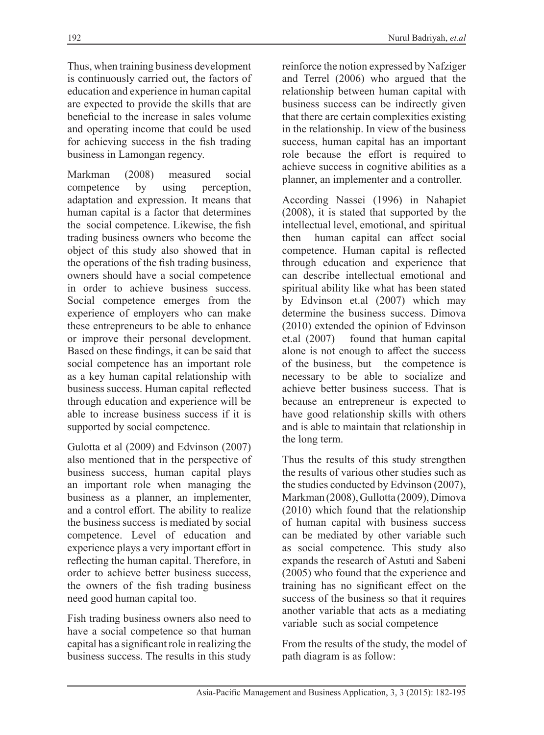Thus, when training business development is continuously carried out, the factors of education and experience in human capital are expected to provide the skills that are beneficial to the increase in sales volume and operating income that could be used for achieving success in the fish trading business in Lamongan regency.

Markman (2008) measured social competence by using perception, adaptation and expression. It means that human capital is a factor that determines the social competence. Likewise, the fish trading business owners who become the object of this study also showed that in the operations of the fish trading business, owners should have a social competence in order to achieve business success. Social competence emerges from the experience of employers who can make these entrepreneurs to be able to enhance or improve their personal development. Based on these findings, it can be said that social competence has an important role as a key human capital relationship with business success. Human capital reflected through education and experience will be able to increase business success if it is supported by social competence.

Gulotta et al (2009) and Edvinson (2007) also mentioned that in the perspective of business success, human capital plays an important role when managing the business as a planner, an implementer, and a control effort. The ability to realize the business success is mediated by social competence. Level of education and experience plays a very important effort in reflecting the human capital. Therefore, in order to achieve better business success, the owners of the fish trading business need good human capital too.

Fish trading business owners also need to have a social competence so that human capital has a significant role in realizing the business success. The results in this study

reinforce the notion expressed by Nafziger and Terrel (2006) who argued that the relationship between human capital with business success can be indirectly given that there are certain complexities existing in the relationship. In view of the business success, human capital has an important role because the effort is required to achieve success in cognitive abilities as a planner, an implementer and a controller.

According Nassei (1996) in Nahapiet (2008), it is stated that supported by the intellectual level, emotional, and spiritual then human capital can affect social competence. Human capital is reflected through education and experience that can describe intellectual emotional and spiritual ability like what has been stated by Edvinson et.al (2007) which may determine the business success. Dimova (2010) extended the opinion of Edvinson et.al (2007) found that human capital alone is not enough to affect the success of the business, but the competence is necessary to be able to socialize and achieve better business success. That is because an entrepreneur is expected to have good relationship skills with others and is able to maintain that relationship in the long term.

Thus the results of this study strengthen the results of various other studies such as the studies conducted by Edvinson (2007), Markman (2008), Gullotta (2009), Dimova (2010) which found that the relationship of human capital with business success can be mediated by other variable such as social competence. This study also expands the research of Astuti and Sabeni (2005) who found that the experience and training has no significant effect on the success of the business so that it requires another variable that acts as a mediating variable such as social competence

From the results of the study, the model of path diagram is as follow: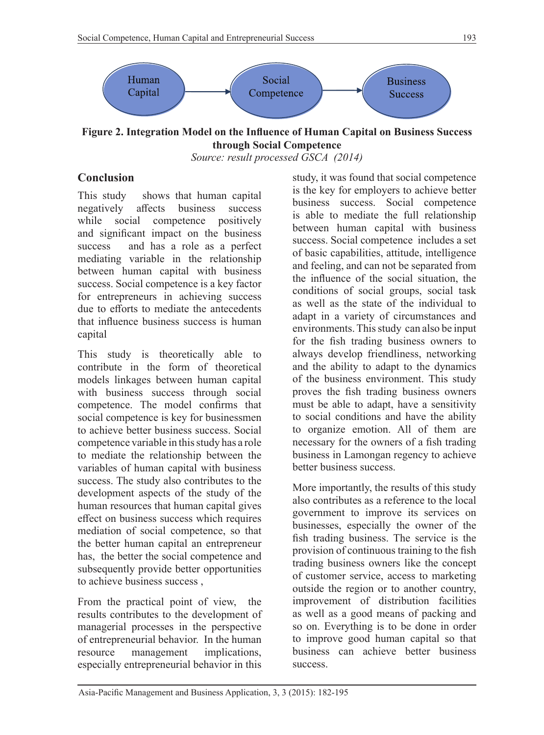

**Figure 2. Integration Model on the Influence of Human Capital on Business Success through Social Competence** *Source: result processed GSCA (2014)*

### **Conclusion**

This study shows that human capital negatively affects business success while social competence positively and significant impact on the business success and has a role as a perfect mediating variable in the relationship between human capital with business success. Social competence is a key factor for entrepreneurs in achieving success due to efforts to mediate the antecedents that influence business success is human capital

This study is theoretically able to contribute in the form of theoretical models linkages between human capital with business success through social competence. The model confirms that social competence is key for businessmen to achieve better business success. Social competence variable in this study has a role to mediate the relationship between the variables of human capital with business success. The study also contributes to the development aspects of the study of the human resources that human capital gives effect on business success which requires mediation of social competence, so that the better human capital an entrepreneur has, the better the social competence and subsequently provide better opportunities to achieve business success ,

From the practical point of view, the results contributes to the development of managerial processes in the perspective of entrepreneurial behavior. In the human resource management implications, especially entrepreneurial behavior in this study, it was found that social competence is the key for employers to achieve better business success. Social competence is able to mediate the full relationship between human capital with business success. Social competence includes a set of basic capabilities, attitude, intelligence and feeling, and can not be separated from the influence of the social situation, the conditions of social groups, social task as well as the state of the individual to adapt in a variety of circumstances and environments. This study can also be input for the fish trading business owners to always develop friendliness, networking and the ability to adapt to the dynamics of the business environment. This study proves the fish trading business owners must be able to adapt, have a sensitivity to social conditions and have the ability to organize emotion. All of them are necessary for the owners of a fish trading business in Lamongan regency to achieve better business success.

More importantly, the results of this study also contributes as a reference to the local government to improve its services on businesses, especially the owner of the fish trading business. The service is the provision of continuous training to the fish trading business owners like the concept of customer service, access to marketing outside the region or to another country, improvement of distribution facilities as well as a good means of packing and so on. Everything is to be done in order to improve good human capital so that business can achieve better business success.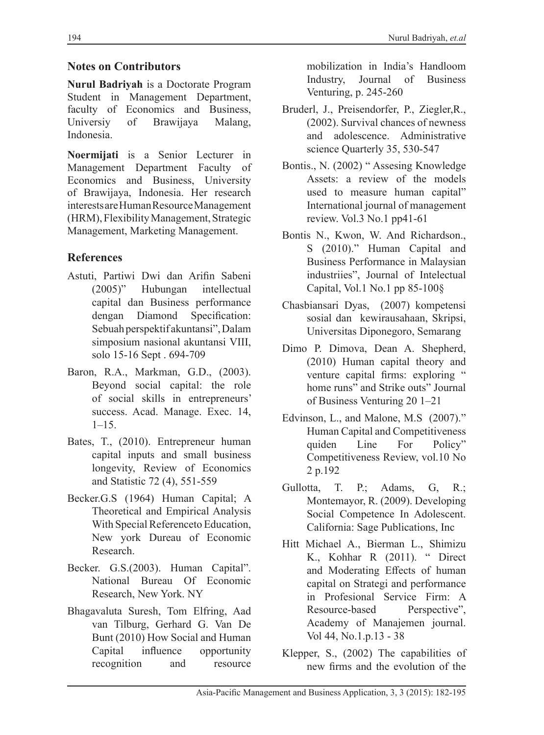# **Notes on Contributors**

**Nurul Badriyah** is a Doctorate Program Student in Management Department, faculty of Economics and Business,<br>Universiy of Brawijaya Malang, of Brawijaya Malang, Indonesia.

**Noermijati** is a Senior Lecturer in Management Department Faculty of Economics and Business, University of Brawijaya, Indonesia. Her research interests are Human Resource Management (HRM), Flexibility Management, Strategic Management, Marketing Management.

# **References**

- Astuti, Partiwi Dwi dan Arifin Sabeni (2005)" Hubungan intellectual capital dan Business performance dengan Diamond Specification: Sebuah perspektif akuntansi", Dalam simposium nasional akuntansi VIII, solo 15-16 Sept . 694-709
- Baron, R.A., Markman, G.D., (2003). Beyond social capital: the role of social skills in entrepreneurs' success. Acad. Manage. Exec. 14,  $1-15.$
- Bates, T., (2010). Entrepreneur human capital inputs and small business longevity, Review of Economics and Statistic 72 (4), 551-559
- Becker.G.S (1964) Human Capital; A Theoretical and Empirical Analysis With Special Referenceto Education, New york Dureau of Economic Research.
- Becker. G.S.(2003). Human Capital". National Bureau Of Economic Research, New York. NY
- Bhagavaluta Suresh, Tom Elfring, Aad van Tilburg, Gerhard G. Van De Bunt (2010) How Social and Human Capital influence opportunity recognition and resource

mobilization in India's Handloom Industry, Journal of Business Venturing, p. 245-260

- Bruderl, J., Preisendorfer, P., Ziegler,R., (2002). Survival chances of newness and adolescence. Administrative science Quarterly 35, 530-547
- Bontis., N. (2002) " Assesing Knowledge Assets: a review of the models used to measure human capital" International journal of management review. Vol.3 No.1 pp41-61
- Bontis N., Kwon, W. And Richardson., S (2010)." Human Capital and Business Performance in Malaysian industriies", Journal of Intelectual Capital, Vol.1 No.1 pp 85-100§
- Chasbiansari Dyas, (2007) kompetensi sosial dan kewirausahaan, Skripsi, Universitas Diponegoro, Semarang
- Dimo P. Dimova, Dean A. Shepherd, (2010) Human capital theory and venture capital firms: exploring " home runs" and Strike outs" Journal of Business Venturing 20 1–21
- Edvinson, L., and Malone, M.S (2007)." Human Capital and Competitiveness quiden Line For Policy" Competitiveness Review, vol.10 No 2 p.192
- Gullotta, T. P.; Adams, G, R.; Montemayor, R. (2009). Developing Social Competence In Adolescent. California: Sage Publications, Inc
- Hitt Michael A., Bierman L., Shimizu K., Kohhar R (2011). " Direct and Moderating Effects of human capital on Strategi and performance in Profesional Service Firm: A Resource-based Perspective", Academy of Manajemen journal. Vol 44, No.1.p.13 - 38
- Klepper, S., (2002) The capabilities of new firms and the evolution of the